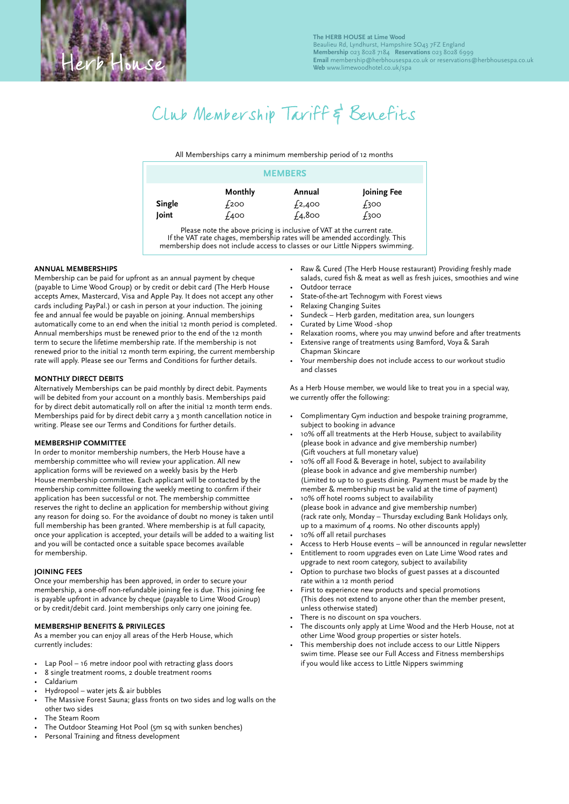# Club Membership Tariff & Benefits

All Memberships carry a minimum membership period of 12 months

| <b>MEMBERS</b>  |                                       |                               |                                 |
|-----------------|---------------------------------------|-------------------------------|---------------------------------|
| Single<br>Joint | Monthly<br><i><b>£200</b></i><br>£400 | Annual<br>£2,400<br>$f_4,800$ | Joining Fee<br>$f_3$ 00<br>£300 |

Please note the above pricing is inclusive of VAT at the current rate. If the VAT rate chages, membership rates will be amended accordingly. This membership does not include access to classes or our Little Nippers swimming.

### **ANNUAL MEMBERSHIPS**

Membership can be paid for upfront as an annual payment by cheque (payable to Lime Wood Group) or by credit or debit card (The Herb House accepts Amex, Mastercard, Visa and Apple Pay. It does not accept any other cards including PayPal.) or cash in person at your induction. The joining fee and annual fee would be payable on joining. Annual memberships automatically come to an end when the initial 12 month period is completed. Annual memberships must be renewed prior to the end of the 12 month term to secure the lifetime membership rate. If the membership is not renewed prior to the initial 12 month term expiring, the current membership rate will apply. Please see our Terms and Conditions for further details.

## **MONTHLY DIRECT DEBITS**

Alternatively Memberships can be paid monthly by direct debit. Payments will be debited from your account on a monthly basis. Memberships paid for by direct debit automatically roll on after the initial 12 month term ends. Memberships paid for by direct debit carry a 3 month cancellation notice in writing. Please see our Terms and Conditions for further details.

#### **MEMBERSHIP COMMITTEE**

In order to monitor membership numbers, the Herb House have a membership committee who will review your application. All new application forms will be reviewed on a weekly basis by the Herb House membership committee. Each applicant will be contacted by the membership committee following the weekly meeting to confirm if their application has been successful or not. The membership committee reserves the right to decline an application for membership without giving any reason for doing so. For the avoidance of doubt no money is taken until full membership has been granted. Where membership is at full capacity, once your application is accepted, your details will be added to a waiting list and you will be contacted once a suitable space becomes available for membership.

#### **JOINING FEES**

Once your membership has been approved, in order to secure your membership, a one-off non-refundable joining fee is due. This joining fee is payable upfront in advance by cheque (payable to Lime Wood Group) or by credit/debit card. Joint memberships only carry one joining fee.

#### **MEMBERSHIP BENEFITS & PRIVILEGES**

As a member you can enjoy all areas of the Herb House, which currently includes:

- Lap Pool 16 metre indoor pool with retracting glass doors
- 8 single treatment rooms, 2 double treatment rooms
- Caldarium
- Hydropool water jets & air bubbles
- The Massive Forest Sauna; glass fronts on two sides and log walls on the other two sides
- The Steam Room
- The Outdoor Steaming Hot Pool (5m sq with sunken benches)
- Personal Training and fitness development
- Raw & Cured (The Herb House restaurant) Providing freshly made salads, cured fish & meat as well as fresh juices, smoothies and wine Outdoor terrace
- State-of-the-art Technogym with Forest views
- Relaxing Changing Suites
- Sundeck Herb garden, meditation area, sun loungers
- Curated by Lime Wood -shop
- Relaxation rooms, where you may unwind before and after treatments
- Extensive range of treatments using Bamford, Voya & Sarah Chapman Skincare
- Your membership does not include access to our workout studio and classes

As a Herb House member, we would like to treat you in a special way, we currently offer the following:

- Complimentary Gym induction and bespoke training programme, subject to booking in advance
- 10% off all treatments at the Herb House, subject to availability (please book in advance and give membership number) (Gift vouchers at full monetary value)
- 10% off all Food & Beverage in hotel, subject to availability (please book in advance and give membership number) (Limited to up to 10 guests dining. Payment must be made by the member & membership must be valid at the time of payment)
- 10% off hotel rooms subject to availability (please book in advance and give membership number) (rack rate only, Monday – Thursday excluding Bank Holidays only, up to a maximum of 4 rooms. No other discounts apply)
- 10% off all retail purchases
- Access to Herb House events will be announced in regular newsletter
- Entitlement to room upgrades even on Late Lime Wood rates and upgrade to next room category, subject to availability
- Option to purchase two blocks of guest passes at a discounted rate within a 12 month period
- First to experience new products and special promotions (This does not extend to anyone other than the member present, unless otherwise stated)
- There is no discount on spa vouchers.
- The discounts only apply at Lime Wood and the Herb House, not at other Lime Wood group properties or sister hotels.
- This membership does not include access to our Little Nippers swim time. Please see our Full Access and Fitness memberships if you would like access to Little Nippers swimming